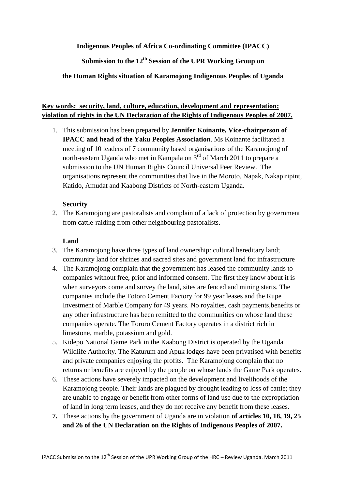## **Indigenous Peoples of Africa Co-ordinating Committee (IPACC)**

**Submission to the 12th Session of the UPR Working Group on** 

## **the Human Rights situation of Karamojong Indigenous Peoples of Uganda**

# **Key words: security, land, culture, education, development and representation; violation of rights in the UN Declaration of the Rights of Indigenous Peoples of 2007.**

1. This submission has been prepared by **Jennifer Koinante, Vice-chairperson of IPACC and head of the Yaku Peoples Association**. Ms Koinante facilitated a meeting of 10 leaders of 7 community based organisations of the Karamojong of north-eastern Uganda who met in Kampala on 3<sup>rd</sup> of March 2011 to prepare a submission to the UN Human Rights Council Universal Peer Review. The organisations represent the communities that live in the Moroto, Napak, Nakapiripint, Katido, Amudat and Kaabong Districts of North-eastern Uganda.

## **Security**

2. The Karamojong are pastoralists and complain of a lack of protection by government from cattle-raiding from other neighbouring pastoralists.

## **Land**

- 3. The Karamojong have three types of land ownership: cultural hereditary land; community land for shrines and sacred sites and government land for infrastructure
- 4. The Karamojong complain that the government has leased the community lands to companies without free, prior and informed consent. The first they know about it is when surveyors come and survey the land, sites are fenced and mining starts. The companies include the Totoro Cement Factory for 99 year leases and the Rupe Investment of Marble Company for 49 years. No royalties, cash payments,benefits or any other infrastructure has been remitted to the communities on whose land these companies operate. The Tororo Cement Factory operates in a district rich in limestone, marble, potassium and gold.
- 5. Kidepo National Game Park in the Kaabong District is operated by the Uganda Wildlife Authority. The Katurum and Apuk lodges have been privatised with benefits and private companies enjoying the profits. The Karamojong complain that no returns or benefits are enjoyed by the people on whose lands the Game Park operates.
- 6. These actions have severely impacted on the development and livelihoods of the Karamojong people. Their lands are plagued by drought leading to loss of cattle; they are unable to engage or benefit from other forms of land use due to the expropriation of land in long term leases, and they do not receive any benefit from these leases.
- **7.** These actions by the government of Uganda are in violation **of articles 10, 18, 19, 25 and 26 of the UN Declaration on the Rights of Indigenous Peoples of 2007.**